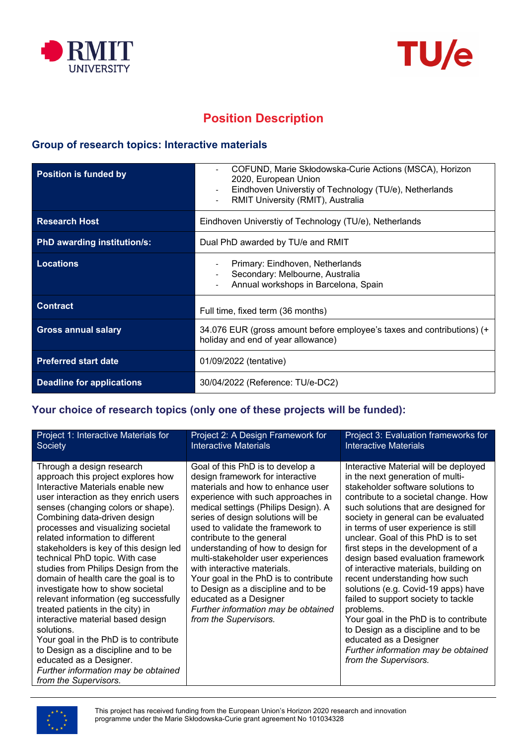



# **Position Description**

### **Group of research topics: Interactive materials**

| <b>Position is funded by</b>       | COFUND, Marie Skłodowska-Curie Actions (MSCA), Horizon<br>2020, European Union<br>Eindhoven Universtiy of Technology (TU/e), Netherlands<br>RMIT University (RMIT), Australia |  |
|------------------------------------|-------------------------------------------------------------------------------------------------------------------------------------------------------------------------------|--|
| <b>Research Host</b>               | Eindhoven Universtiy of Technology (TU/e), Netherlands                                                                                                                        |  |
| <b>PhD awarding institution/s:</b> | Dual PhD awarded by TU/e and RMIT                                                                                                                                             |  |
| <b>Locations</b>                   | Primary: Eindhoven, Netherlands<br>Secondary: Melbourne, Australia<br>Annual workshops in Barcelona, Spain                                                                    |  |
| <b>Contract</b>                    | Full time, fixed term (36 months)                                                                                                                                             |  |
| <b>Gross annual salary</b>         | 34.076 EUR (gross amount before employee's taxes and contributions) (+<br>holiday and end of year allowance)                                                                  |  |
| <b>Preferred start date</b>        | 01/09/2022 (tentative)                                                                                                                                                        |  |
| Deadline for applications          | 30/04/2022 (Reference: TU/e-DC2)                                                                                                                                              |  |

### **Your choice of research topics (only one of these projects will be funded):**

| Project 1: Interactive Materials for                                                                                                                                                                                                                                                                                                                                                                                                                                                                                                                                                                                                                                                                                                                                                                    | Project 2: A Design Framework for                                                                                                                                                                                                                                                                                                                                                                                                                                                                                                                                                    | Project 3: Evaluation frameworks for                                                                                                                                                                                                                                                                                                                                                                                                                                                                                                                                                                                                                                                                                                            |
|---------------------------------------------------------------------------------------------------------------------------------------------------------------------------------------------------------------------------------------------------------------------------------------------------------------------------------------------------------------------------------------------------------------------------------------------------------------------------------------------------------------------------------------------------------------------------------------------------------------------------------------------------------------------------------------------------------------------------------------------------------------------------------------------------------|--------------------------------------------------------------------------------------------------------------------------------------------------------------------------------------------------------------------------------------------------------------------------------------------------------------------------------------------------------------------------------------------------------------------------------------------------------------------------------------------------------------------------------------------------------------------------------------|-------------------------------------------------------------------------------------------------------------------------------------------------------------------------------------------------------------------------------------------------------------------------------------------------------------------------------------------------------------------------------------------------------------------------------------------------------------------------------------------------------------------------------------------------------------------------------------------------------------------------------------------------------------------------------------------------------------------------------------------------|
| Society                                                                                                                                                                                                                                                                                                                                                                                                                                                                                                                                                                                                                                                                                                                                                                                                 | <b>Interactive Materials</b>                                                                                                                                                                                                                                                                                                                                                                                                                                                                                                                                                         | <b>Interactive Materials</b>                                                                                                                                                                                                                                                                                                                                                                                                                                                                                                                                                                                                                                                                                                                    |
| Through a design research<br>approach this project explores how<br>Interactive Materials enable new<br>user interaction as they enrich users<br>senses (changing colors or shape).<br>Combining data-driven design<br>processes and visualizing societal<br>related information to different<br>stakeholders is key of this design led<br>technical PhD topic. With case<br>studies from Philips Design from the<br>domain of health care the goal is to<br>investigate how to show societal<br>relevant information (eg successfully<br>treated patients in the city) in<br>interactive material based design<br>solutions.<br>Your goal in the PhD is to contribute<br>to Design as a discipline and to be<br>educated as a Designer.<br>Further information may be obtained<br>from the Supervisors. | Goal of this PhD is to develop a<br>design framework for interactive<br>materials and how to enhance user<br>experience with such approaches in<br>medical settings (Philips Design). A<br>series of design solutions will be<br>used to validate the framework to<br>contribute to the general<br>understanding of how to design for<br>multi-stakeholder user experiences<br>with interactive materials.<br>Your goal in the PhD is to contribute<br>to Design as a discipline and to be<br>educated as a Designer<br>Further information may be obtained<br>from the Supervisors. | Interactive Material will be deployed<br>in the next generation of multi-<br>stakeholder software solutions to<br>contribute to a societal change. How<br>such solutions that are designed for<br>society in general can be evaluated<br>in terms of user experience is still<br>unclear. Goal of this PhD is to set<br>first steps in the development of a<br>design based evaluation framework<br>of interactive materials, building on<br>recent understanding how such<br>solutions (e.g. Covid-19 apps) have<br>failed to support society to tackle<br>problems.<br>Your goal in the PhD is to contribute<br>to Design as a discipline and to be<br>educated as a Designer<br>Further information may be obtained<br>from the Supervisors. |

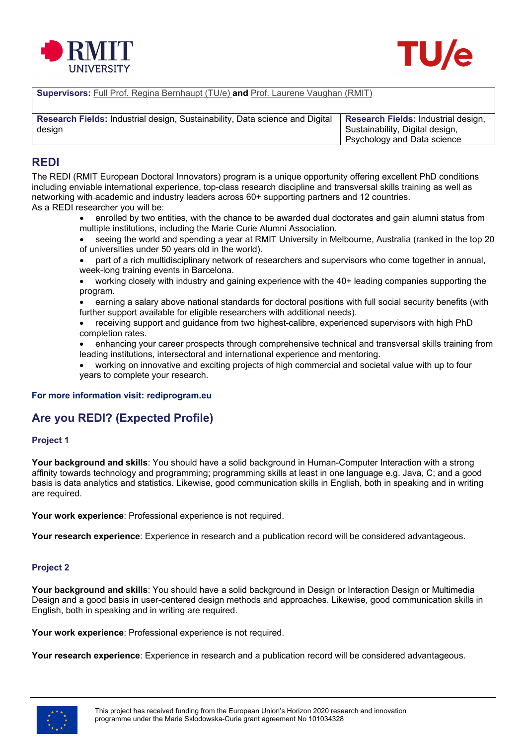



**Supervisors:** Full Prof. Regina Bernhaupt (TU/e) **and** Prof. Laurene Vaughan (RMIT)

| Research Fields: Industrial design, Sustainability, Data science and Digital | <b>Research Fields: Industrial design,</b> |
|------------------------------------------------------------------------------|--------------------------------------------|
| design                                                                       | Sustainability, Digital design,            |
|                                                                              | <b>Psychology and Data science</b>         |

#### **REDI**

The REDI (RMIT European Doctoral Innovators) program is a unique opportunity offering excellent PhD conditions including enviable international experience, top-class research discipline and transversal skills training as well as networking with academic and industry leaders across 60+ supporting partners and 12 countries. As a REDI researcher you will be:

- enrolled by two entities, with the chance to be awarded dual doctorates and gain alumni status from multiple institutions, including the Marie Curie Alumni Association.
- seeing the world and spending a year at RMIT University in Melbourne, Australia (ranked in the top 20 of universities under 50 years old in the world).
- part of a rich multidisciplinary network of researchers and supervisors who come together in annual, week-long training events in Barcelona.
- working closely with industry and gaining experience with the 40+ leading companies supporting the program.
- earning a salary above national standards for doctoral positions with full social security benefits (with further support available for eligible researchers with additional needs).
- receiving support and guidance from two highest-calibre, experienced supervisors with high PhD completion rates.
- enhancing your career prospects through comprehensive technical and transversal skills training from leading institutions, intersectoral and international experience and mentoring.
- working on innovative and exciting projects of high commercial and societal value with up to four years to complete your research.

#### **For more information visit: rediprogram.eu**

### **Are you REDI? (Expected Profile)**

#### **Project 1**

**Your background and skills**: You should have a solid background in Human-Computer Interaction with a strong affinity towards technology and programming; programming skills at least in one language e.g. Java, C; and a good basis is data analytics and statistics. Likewise, good communication skills in English, both in speaking and in writing are required.

**Your work experience**: Professional experience is not required.

**Your research experience**: Experience in research and a publication record will be considered advantageous.

#### **Project 2**

**Your background and skills**: You should have a solid background in Design or Interaction Design or Multimedia Design and a good basis in user-centered design methods and approaches. Likewise, good communication skills in English, both in speaking and in writing are required.

**Your work experience**: Professional experience is not required.

**Your research experience**: Experience in research and a publication record will be considered advantageous.

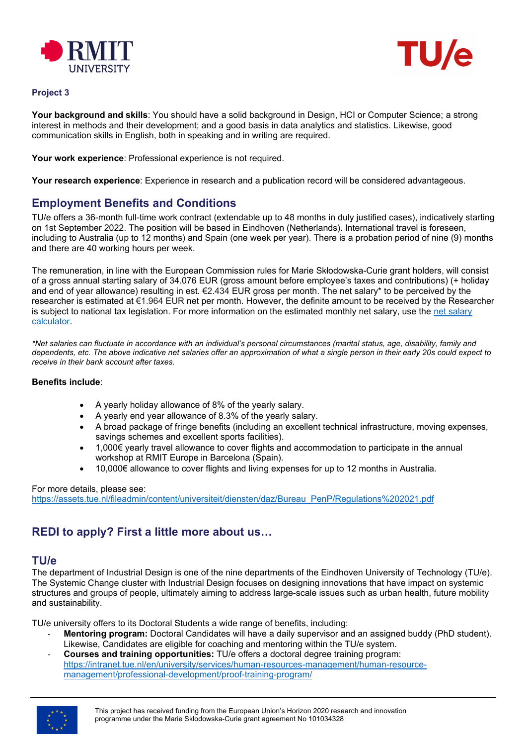



#### **Project 3**

**Your background and skills**: You should have a solid background in Design, HCI or Computer Science; a strong interest in methods and their development; and a good basis in data analytics and statistics. Likewise, good communication skills in English, both in speaking and in writing are required.

**Your work experience**: Professional experience is not required.

**Your research experience**: Experience in research and a publication record will be considered advantageous.

#### **Employment Benefits and Conditions**

TU/e offers a 36-month full-time work contract (extendable up to 48 months in duly justified cases), indicatively starting on 1st September 2022. The position will be based in Eindhoven (Netherlands). International travel is foreseen, including to Australia (up to 12 months) and Spain (one week per year). There is a probation period of nine (9) months and there are 40 working hours per week.

The remuneration, in line with the European Commission rules for Marie Skłodowska-Curie grant holders, will consist of a gross annual starting salary of 34.076 EUR (gross amount before employee's taxes and contributions) (+ holiday and end of year allowance) resulting in est. €2.434 EUR gross per month. The net salary\* to be perceived by the researcher is estimated at €1.964 EUR net per month. However, the definite amount to be received by the Researcher is subject to national tax legislation. For more information on the estimated monthly net salary, use the [net salary](https://thetax.nl/?year=2021&startFrom=Year&salary=36000&allowance=0&socialSecurity=1&retired=0&ruling=0&rulingChoice=normal)  [calculator.](https://thetax.nl/?year=2021&startFrom=Year&salary=36000&allowance=0&socialSecurity=1&retired=0&ruling=0&rulingChoice=normal)

*\*Net salaries can fluctuate in accordance with an individual's personal circumstances (marital status, age, disability, family and dependents, etc. The above indicative net salaries offer an approximation of what a single person in their early 20s could expect to receive in their bank account after taxes.*

#### **Benefits include**:

- A yearly holiday allowance of 8% of the yearly salary.
- A yearly end year allowance of 8.3% of the yearly salary.
- A broad package of fringe benefits (including an excellent technical infrastructure, moving expenses, savings schemes and excellent sports facilities).
- 1,000€ yearly travel allowance to cover flights and accommodation to participate in the annual workshop at RMIT Europe in Barcelona (Spain).
- 10,000€ allowance to cover flights and living expenses for up to 12 months in Australia.

#### For more details, please see:

[https://assets.tue.nl/fileadmin/content/universiteit/diensten/daz/Bureau\\_PenP/Regulations%202021.pdf](https://assets.tue.nl/fileadmin/content/universiteit/diensten/daz/Bureau_PenP/Regulations%202021.pdf)

### **REDI to apply? First a little more about us…**

#### **TU/e**

The department of Industrial Design is one of the nine departments of the Eindhoven University of Technology (TU/e). The Systemic Change cluster with Industrial Design focuses on designing innovations that have impact on systemic structures and groups of people, ultimately aiming to address large-scale issues such as urban health, future mobility and sustainability.

TU/e university offers to its Doctoral Students a wide range of benefits, including:

- **Mentoring program:** Doctoral Candidates will have a daily supervisor and an assigned buddy (PhD student). Likewise, Candidates are eligible for coaching and mentoring within the TU/e system.
- **Courses and training opportunities:** TU/e offers a doctoral degree training program: [https://intranet.tue.nl/en/university/services/human-resources-management/human-resource](https://intranet.tue.nl/en/university/services/human-resources-management/human-resource-management/professional-development/proof-training-program/)[management/professional-development/proof-training-program/](https://intranet.tue.nl/en/university/services/human-resources-management/human-resource-management/professional-development/proof-training-program/)

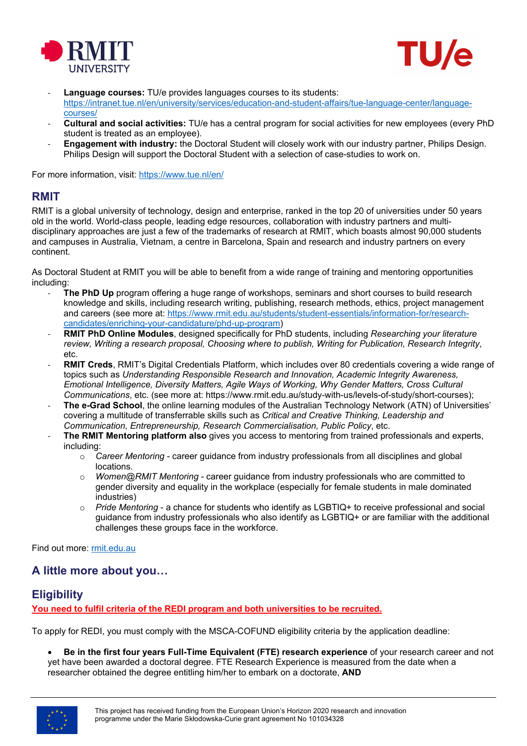



- Language courses: TU/e provides languages courses to its students: [https://intranet.tue.nl/en/university/services/education-and-student-affairs/tue-language-center/language](https://intranet.tue.nl/en/university/services/education-and-student-affairs/tue-language-center/language-courses/)[courses/](https://intranet.tue.nl/en/university/services/education-and-student-affairs/tue-language-center/language-courses/)
- **Cultural and social activities:** TU/e has a central program for social activities for new employees (every PhD student is treated as an employee).
- **Engagement with industry:** the Doctoral Student will closely work with our industry partner, Philips Design. Philips Design will support the Doctoral Student with a selection of case-studies to work on.

For more information, visit: <https://www.tue.nl/en/>

### **RMIT**

RMIT is a global university of technology, design and enterprise, ranked in the top 20 of universities under 50 years old in the world. World-class people, leading edge resources, collaboration with industry partners and multidisciplinary approaches are just a few of the trademarks of research at RMIT, which boasts almost 90,000 students and campuses in Australia, Vietnam, a centre in Barcelona, Spain and research and industry partners on every continent.

As Doctoral Student at RMIT you will be able to benefit from a wide range of training and mentoring opportunities including:

- **The PhD Up** program offering a huge range of workshops, seminars and short courses to build research knowledge and skills, including research writing, publishing, research methods, ethics, project management and careers (see more at: [https://www.rmit.edu.au/students/student](https://www.rmit.edu.au/students/student-essentials/information-for/research-candidates/enriching-your-candidature/phd-up-program)-essentials/information-for/research[candidates/enriching-your-candidature/phd-up-program\)](https://www.rmit.edu.au/students/student-essentials/information-for/research-candidates/enriching-your-candidature/phd-up-program)
- **RMIT PhD Online Modules**, designed specifically for PhD students, including *Researching your literature review, Writing a research proposal, Choosing where to publish, Writing for Publication, Research Integrity*, etc.
- **RMIT Creds**, RMIT's Digital Credentials Platform, which includes over 80 credentials covering a wide range of topics such as *Understanding Responsible Research and Innovation, Academic Integrity Awareness, Emotional Intelligence, Diversity Matters, Agile Ways of Working, Why Gender Matters, Cross Cultural Communications*, etc. (see more at: https://www.rmit.edu.au/study-with-us/levels-of-study/short-courses);
- **The e-Grad School**, the online learning modules of the Australian Technology Network (ATN) of Universities' covering a multitude of transferrable skills such as *Critical and Creative Thinking, Leadership and Communication, Entrepreneurship, Research Commercialisation, Public Policy*, etc.
- **The RMIT Mentoring platform also** gives you access to mentoring from trained professionals and experts, including:
	- o *Career Mentoring* career guidance from industry professionals from all disciplines and global locations.
	- *Women@RMIT Mentoring* career guidance from industry professionals who are committed to gender diversity and equality in the workplace (especially for female students in male dominated industries)
	- o *Pride Mentoring*  a chance for students who identify as LGBTIQ+ to receive professional and social guidance from industry professionals who also identify as LGBTIQ+ or are familiar with the additional challenges these groups face in the workforce.

Find out more: [rmit.edu.au](https://www.rmit.edu.au/)

# **A little more about you…**

# **Eligibility**

**You need to fulfil criteria of the REDI program and both universities to be recruited.**

To apply for REDI, you must comply with the MSCA-COFUND eligibility criteria by the application deadline:

• **Be in the first four years Full-Time Equivalent (FTE) research experience** of your research career and not yet have been awarded a doctoral degree. FTE Research Experience is measured from the date when a researcher obtained the degree entitling him/her to embark on a doctorate, **AND**

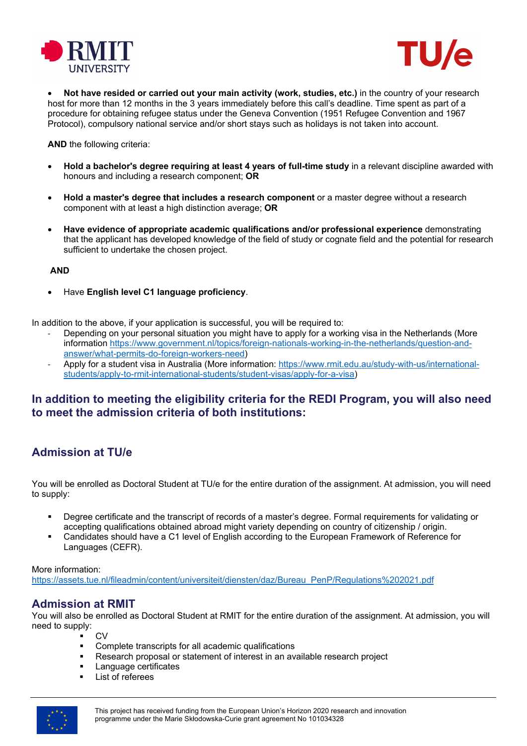



• **Not have resided or carried out your main activity (work, studies, etc.)** in the country of your research host for more than 12 months in the 3 years immediately before this call's deadline. Time spent as part of a procedure for obtaining refugee status under the Geneva Convention (1951 Refugee Convention and 1967 Protocol), compulsory national service and/or short stays such as holidays is not taken into account.

**AND** the following criteria:

- **Hold a bachelor's degree requiring at least 4 years of full-time study** in a relevant discipline awarded with honours and including a research component; **OR**
- **Hold a master's degree that includes a research component** or a master degree without a research component with at least a high distinction average; **OR**
- **Have evidence of appropriate academic qualifications and/or professional experience** demonstrating that the applicant has developed knowledge of the field of study or cognate field and the potential for research sufficient to undertake the chosen project.

#### **AND**

• Have **English level C1 language proficiency**.

In addition to the above, if your application is successful, you will be required to:

- Depending on your personal situation you might have to apply for a working visa in the Netherlands (More information https://www.government.nl/topics/foreign-nationals-working-in-the-netherlands/question-andanswer/what-permits-do-foreign-workers-need)
- Apply for a student visa in Australia (More information: [https://www.rmit.edu.au/study](https://www.rmit.edu.au/study-with-us/international-students/apply-to-rmit-international-students/student-visas/apply-for-a-visa)-with-us/international[students/apply-to-rmit-international-students/student-visas/apply-for-a-visa\)](https://www.rmit.edu.au/study-with-us/international-students/apply-to-rmit-international-students/student-visas/apply-for-a-visa)

### **In addition to meeting the eligibility criteria for the REDI Program, you will also need to meet the admission criteria of both institutions:**

# **Admission at TU/e**

You will be enrolled as Doctoral Student at TU/e for the entire duration of the assignment. At admission, you will need to supply:

- Degree certificate and the transcript of records of a master's degree. Formal requirements for validating or accepting qualifications obtained abroad might variety depending on country of citizenship / origin.
- Candidates should have a C1 level of English according to the European Framework of Reference for Languages (CEFR).

#### More information:

[https://assets.tue.nl/fileadmin/content/universiteit/diensten/daz/Bureau\\_PenP/Regulations%202021.pdf](https://assets.tue.nl/fileadmin/content/universiteit/diensten/daz/Bureau_PenP/Regulations%202021.pdf)

### **Admission at RMIT**

You will also be enrolled as Doctoral Student at RMIT for the entire duration of the assignment. At admission, you will need to supply:

- $\overline{\phantom{a}}$  CV
- Complete transcripts for all academic qualifications
- Research proposal or statement of interest in an available research project
- Language certificates
- List of referees